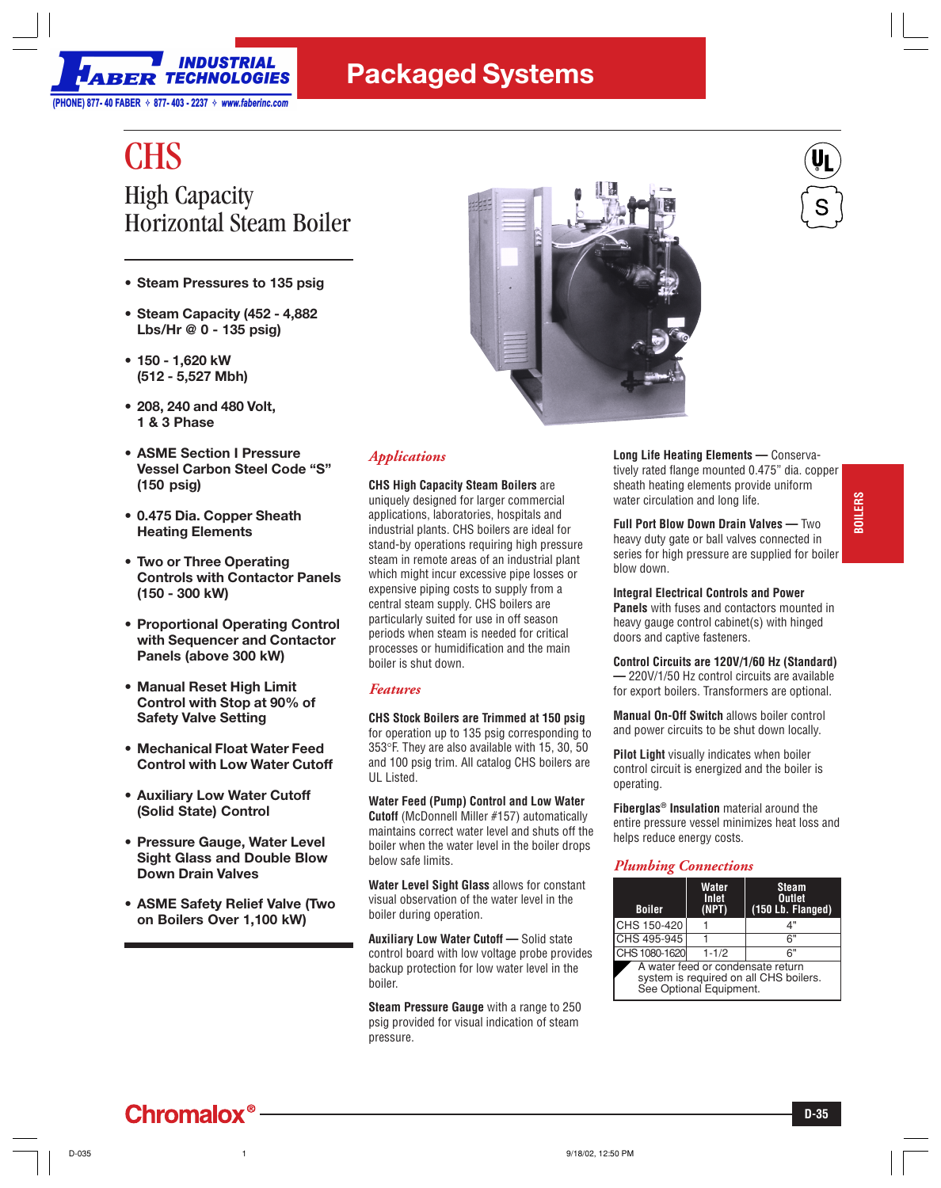

## **Packaged Systems**

# **CHS** High Capacity Horizontal Steam Boiler

- **Steam Pressures to 135 psig**
- **Steam Capacity (452 4,882 Lbs/Hr @ 0 - 135 psig)**
- **150 1,620 kW (512 - 5,527 Mbh)**
- **208, 240 and 480 Volt, 1 & 3 Phase**
- **ASME Section I Pressure Vessel Carbon Steel Code "S" (150 psig)**
- **0.475 Dia. Copper Sheath Heating Elements**
- **Two or Three Operating Controls with Contactor Panels (150 - 300 kW)**
- **Proportional Operating Control with Sequencer and Contactor Panels (above 300 kW)**
- **Manual Reset High Limit Control with Stop at 90% of Safety Valve Setting**
- **Mechanical Float Water Feed Control with Low Water Cutoff**
- **Auxiliary Low Water Cutoff (Solid State) Control**
- **Pressure Gauge, Water Level Sight Glass and Double Blow Down Drain Valves**
- **ASME Safety Relief Valve (Two on Boilers Over 1,100 kW)**

**Chromalox®** 



### *Applications*

**CHS High Capacity Steam Boilers** are uniquely designed for larger commercial applications, laboratories, hospitals and industrial plants. CHS boilers are ideal for stand-by operations requiring high pressure steam in remote areas of an industrial plant which might incur excessive pipe losses or expensive piping costs to supply from a central steam supply. CHS boilers are particularly suited for use in off season periods when steam is needed for critical processes or humidification and the main boiler is shut down.

#### *Features*

**CHS Stock Boilers are Trimmed at 150 psig** for operation up to 135 psig corresponding to 353°F. They are also available with 15, 30, 50 and 100 psig trim. All catalog CHS boilers are UL Listed.

**Water Feed (Pump) Control and Low Water Cutoff** (McDonnell Miller #157) automatically maintains correct water level and shuts off the boiler when the water level in the boiler drops below safe limits.

**Water Level Sight Glass** allows for constant visual observation of the water level in the boiler during operation.

**Auxiliary Low Water Cutoff —** Solid state control board with low voltage probe provides backup protection for low water level in the boiler.

**Steam Pressure Gauge** with a range to 250 psig provided for visual indication of steam pressure.

**Long Life Heating Elements —** Conservatively rated flange mounted 0.475" dia. copper sheath heating elements provide uniform water circulation and long life.

**Full Port Blow Down Drain Valves —** Two heavy duty gate or ball valves connected in series for high pressure are supplied for boiler blow down.

#### **Integral Electrical Controls and Power**

**Panels** with fuses and contactors mounted in heavy gauge control cabinet(s) with hinged doors and captive fasteners.

**Control Circuits are 120V/1/60 Hz (Standard) —** 220V/1/50 Hz control circuits are available for export boilers. Transformers are optional.

**Manual On-Off Switch** allows boiler control and power circuits to be shut down locally.

**Pilot Light** visually indicates when boiler control circuit is energized and the boiler is operating.

**Fiberglas® Insulation** material around the entire pressure vessel minimizes heat loss and helps reduce energy costs.

#### *Plumbing Connections*

| <b>Boiler</b>                                                                                          | <b>Water</b><br>Inlet<br>(NPT) | <b>Steam</b><br><b>Outlet</b><br>(150 Lb. Flanged) |  |  |  |  |  |  |  |
|--------------------------------------------------------------------------------------------------------|--------------------------------|----------------------------------------------------|--|--|--|--|--|--|--|
| CHS 150-420                                                                                            |                                | 4"                                                 |  |  |  |  |  |  |  |
| CHS 495-945                                                                                            |                                | 6"                                                 |  |  |  |  |  |  |  |
| CHS 1080-1620                                                                                          | $1 - 1/2$                      | 6"                                                 |  |  |  |  |  |  |  |
| A water feed or condensate return<br>system is required on all CHS boilers.<br>See Optional Equipment. |                                |                                                    |  |  |  |  |  |  |  |